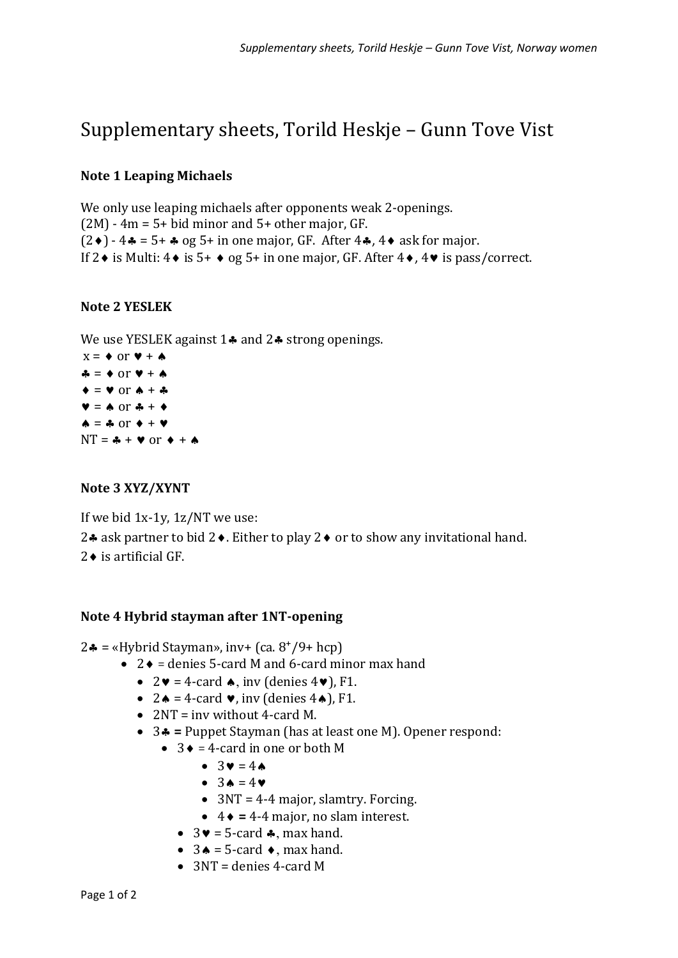# Supplementary sheets, Torild Heskje – Gunn Tove Vist

### **Note 1 Leaping Michaels**

We only use leaping michaels after opponents weak 2-openings.  $(2M)$  - 4m = 5+ bid minor and 5+ other major, GF.  $(2\bullet) - 4\bullet = 5 + \bullet$  og 5+ in one major, GF. After  $4\bullet$ ,  $4\bullet$  ask for major. If  $2 \cdot$  is Multi:  $4 \cdot$  is  $5+ \cdot$  og  $5+$  in one major, GF. After  $4 \cdot$ ,  $4 \cdot$  is pass/correct.

### **Note 2 YESLEK**

We use YESLEK against  $1\clubsuit$  and  $2\spadesuit$  strong openings.

 $x = \bullet$  or  $\blacktriangledown + \spadesuit$  $\clubsuit = \spadesuit$  or  $\blacktriangledown + \spadesuit$  $\blacklozenge$  =  $\blacktriangledown$  or  $\blacklozenge$  +  $\clubsuit$  $\mathbf{v} = \mathbf{A}$  or  $\mathbf{A} + \mathbf{A}$  $\spadesuit$  =  $\clubsuit$  or  $\spadesuit$  +  $\spadesuit$  $NT =$   $\clubsuit$  +  $\blacktriangledown$  or  $\blacklozenge$  +  $\spadesuit$ 

# **Note 3 XYZ/XYNT**

If we bid 1x-1y, 1z/NT we use: 2.4 ask partner to bid 2 $\bullet$ . Either to play 2 $\bullet$  or to show any invitational hand.  $2 \bullet$  is artificial GF.

# **Note 4 Hybrid stayman after 1NT-opening**

 $2 \cdot \bullet$  = «Hybrid Stayman», inv+ (ca.  $8^+/9$ + hcp)

- $2 \cdot \mathbf{d}$  = denies 5-card M and 6-card minor max hand
	- $2\mathbf{v} = 4$ -card  $\mathbf{\bullet}$ , inv (denies  $4\mathbf{v}$ ), F1.
	- $2 \triangle = 4$ -card  $\vee$ , inv (denies  $4 \triangle$ ), F1.
	- 2NT = inv without 4-card M.
	- 3 **=** Puppet Stayman (has at least one M). Opener respond:
		- $3 \div = 4$ -card in one or both M
			- $\bullet$  3 $\bullet$  = 4 $\bullet$
			- $\bullet$  3  $\bullet$  = 4  $\bullet$
			- $3NT = 4-4$  major, slamtry. Forcing.
			- $\bullet$  4  $\bullet$  = 4-4 major, no slam interest.
			- $3\vee$  = 5-card  $\triangle$ , max hand.
			- $3 \triangle = 5$ -card  $\triangle$ , max hand.
			- $\bullet$  3NT = denies 4-card M